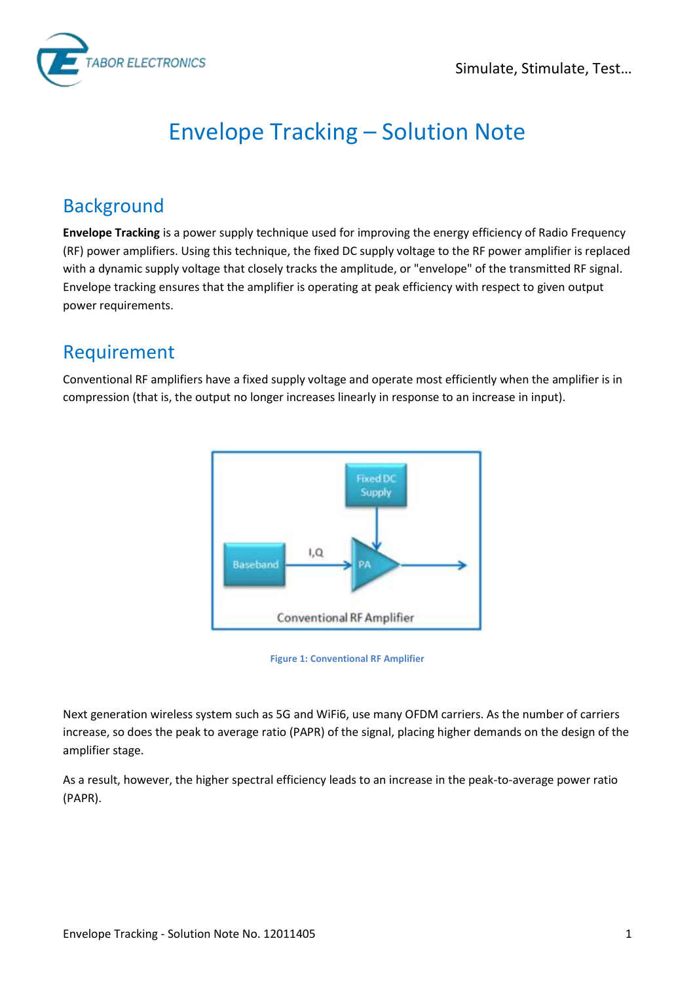

# Envelope Tracking – Solution Note

### **Background**

**Envelope Tracking** is a power supply technique used for improving the energy efficiency of Radio Frequency (RF) power amplifiers. Using this technique, the fixed DC supply voltage to the RF power amplifier is replaced with a dynamic supply voltage that closely tracks the amplitude, or "envelope" of the transmitted RF signal. Envelope tracking ensures that the amplifier is operating at peak efficiency with respect to given output power requirements.

#### Requirement

Conventional RF amplifiers have a fixed supply voltage and operate most efficiently when the amplifier is in compression (that is, the output no longer increases linearly in response to an increase in input).





Next generation wireless system such as 5G and WiFi6, use many OFDM carriers. As the number of carriers increase, so does the peak to average ratio (PAPR) of the signal, placing higher demands on the design of the amplifier stage.

As a result, however, the higher spectral efficiency leads to an increase in the peak-to-average power ratio (PAPR).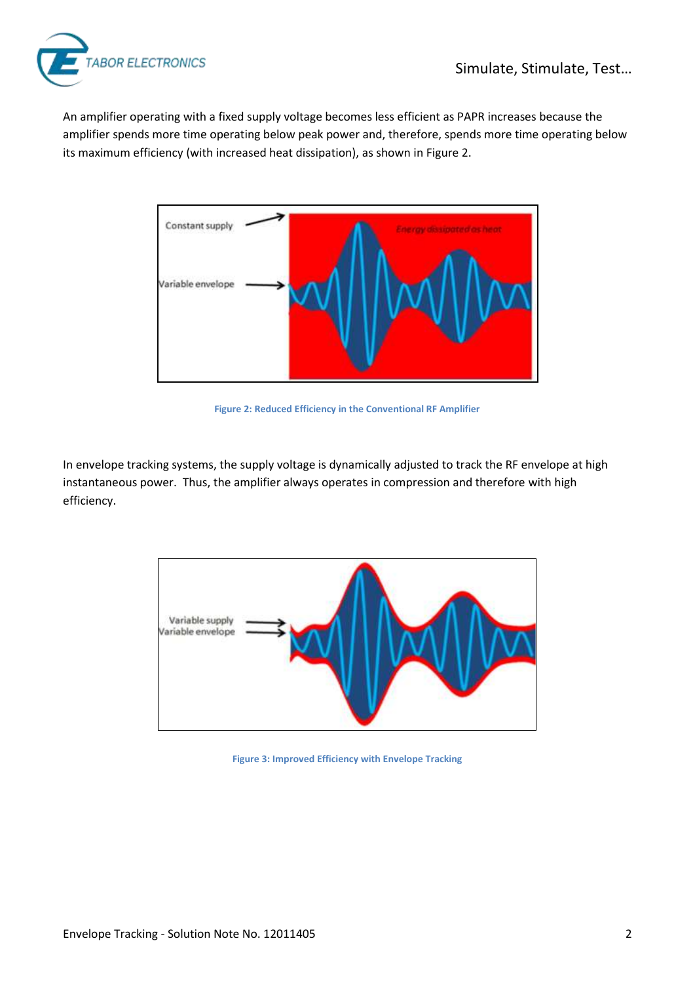

An amplifier operating with a fixed supply voltage becomes less efficient as PAPR increases because the amplifier spends more time operating below peak power and, therefore, spends more time operating below its maximum efficiency (with increased heat dissipation), as shown in [Figure 2.](#page-1-0)



**Figure 2: Reduced Efficiency in the Conventional RF Amplifier**

<span id="page-1-0"></span>In envelope tracking systems, the supply voltage is dynamically adjusted to track the RF envelope at high instantaneous power. Thus, the amplifier always operates in compression and therefore with high efficiency.



**Figure 3: Improved Efficiency with Envelope Tracking**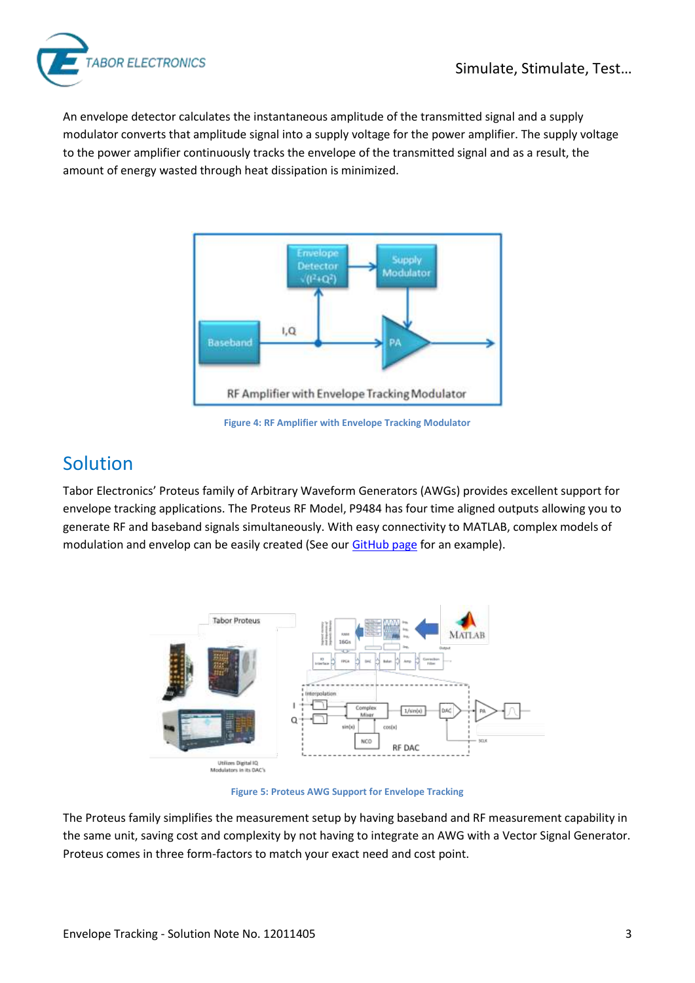

An envelope detector calculates the instantaneous amplitude of the transmitted signal and a supply modulator converts that amplitude signal into a supply voltage for the power amplifier. The supply voltage to the power amplifier continuously tracks the envelope of the transmitted signal and as a result, the amount of energy wasted through heat dissipation is minimized.



**Figure 4: RF Amplifier with Envelope Tracking Modulator**

#### Solution

Tabor Electronics' Proteus family of Arbitrary Waveform Generators (AWGs) provides excellent support for envelope tracking applications. The Proteus RF Model, P9484 has four time aligned outputs allowing you to generate RF and baseband signals simultaneously. With easy connectivity to MATLAB, complex models of modulation and envelop can be easily created (See ou[r GitHub page](https://github.com/Tabor-Electronics/Matlab-Examples) for an example).



**Figure 5: Proteus AWG Support for Envelope Tracking**

The Proteus family simplifies the measurement setup by having baseband and RF measurement capability in the same unit, saving cost and complexity by not having to integrate an AWG with a Vector Signal Generator. Proteus comes in three form-factors to match your exact need and cost point.